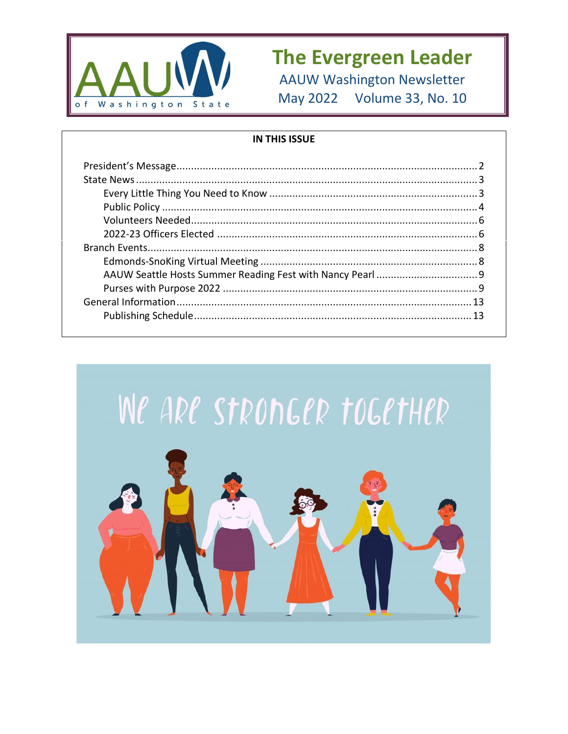

**The Evergreen Leader AAUW Washington Newsletter** May 2022 Volume 33, No. 10

#### **IN THIS ISSUE**

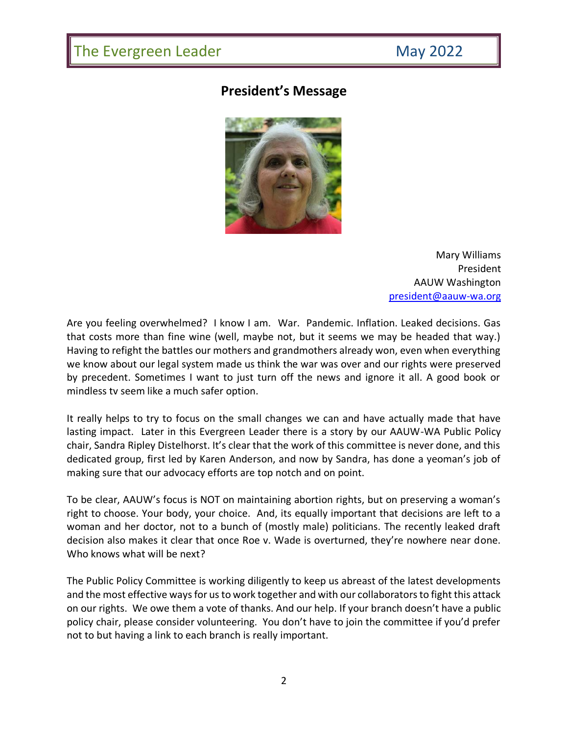## <span id="page-1-0"></span>**President's Message**



Mary Williams President AAUW Washington [president@aauw-wa.org](mailto:president@aauw-wa.org)

Are you feeling overwhelmed? I know I am. War. Pandemic. Inflation. Leaked decisions. Gas that costs more than fine wine (well, maybe not, but it seems we may be headed that way.) Having to refight the battles our mothers and grandmothers already won, even when everything we know about our legal system made us think the war was over and our rights were preserved by precedent. Sometimes I want to just turn off the news and ignore it all. A good book or mindless tv seem like a much safer option.

It really helps to try to focus on the small changes we can and have actually made that have lasting impact. Later in this Evergreen Leader there is a story by our AAUW-WA Public Policy chair, Sandra Ripley Distelhorst. It's clear that the work of this committee is never done, and this dedicated group, first led by Karen Anderson, and now by Sandra, has done a yeoman's job of making sure that our advocacy efforts are top notch and on point.

To be clear, AAUW's focus is NOT on maintaining abortion rights, but on preserving a woman's right to choose. Your body, your choice. And, its equally important that decisions are left to a woman and her doctor, not to a bunch of (mostly male) politicians. The recently leaked draft decision also makes it clear that once Roe v. Wade is overturned, they're nowhere near done. Who knows what will be next?

The Public Policy Committee is working diligently to keep us abreast of the latest developments and the most effective ways for us to work together and with our collaborators to fight this attack on our rights. We owe them a vote of thanks. And our help. If your branch doesn't have a public policy chair, please consider volunteering. You don't have to join the committee if you'd prefer not to but having a link to each branch is really important.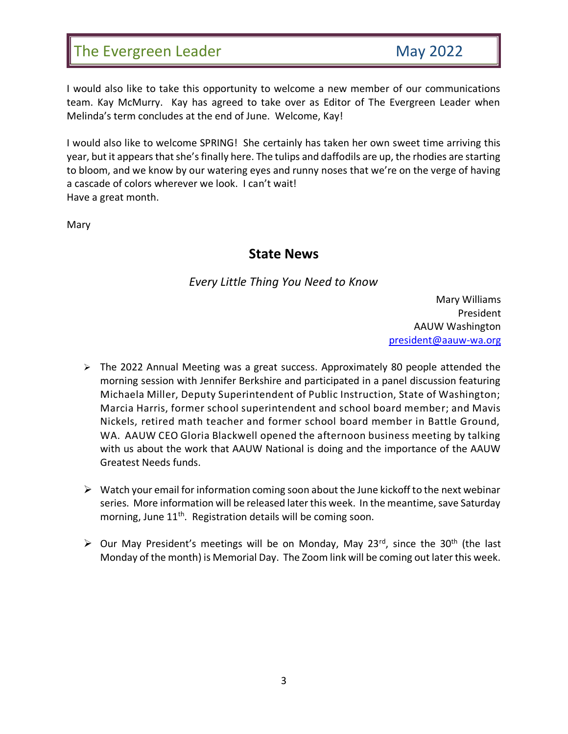I would also like to take this opportunity to welcome a new member of our communications team. Kay McMurry. Kay has agreed to take over as Editor of The Evergreen Leader when Melinda's term concludes at the end of June. Welcome, Kay!

I would also like to welcome SPRING! She certainly has taken her own sweet time arriving this year, but it appears that she's finally here. The tulips and daffodils are up, the rhodies are starting to bloom, and we know by our watering eyes and runny noses that we're on the verge of having a cascade of colors wherever we look. I can't wait! Have a great month.

<span id="page-2-1"></span><span id="page-2-0"></span>Mary

## **State News**

*Every Little Thing You Need to Know*

Mary Williams President AAUW Washington [president@aauw-wa.org](mailto:president@aauw-wa.org)

- $\triangleright$  The 2022 Annual Meeting was a great success. Approximately 80 people attended the morning session with Jennifer Berkshire and participated in a panel discussion featuring Michaela Miller, Deputy Superintendent of Public Instruction, State of Washington; Marcia Harris, former school superintendent and school board member; and Mavis Nickels, retired math teacher and former school board member in Battle Ground, WA. AAUW CEO Gloria Blackwell opened the afternoon business meeting by talking with us about the work that AAUW National is doing and the importance of the AAUW Greatest Needs funds.
- $\triangleright$  Watch your email for information coming soon about the June kickoff to the next webinar series. More information will be released later this week. In the meantime, save Saturday morning, June 11<sup>th</sup>. Registration details will be coming soon.
- $\triangleright$  Our May President's meetings will be on Monday, May 23<sup>rd</sup>, since the 30<sup>th</sup> (the last Monday of the month) is Memorial Day. The Zoom link will be coming out later this week.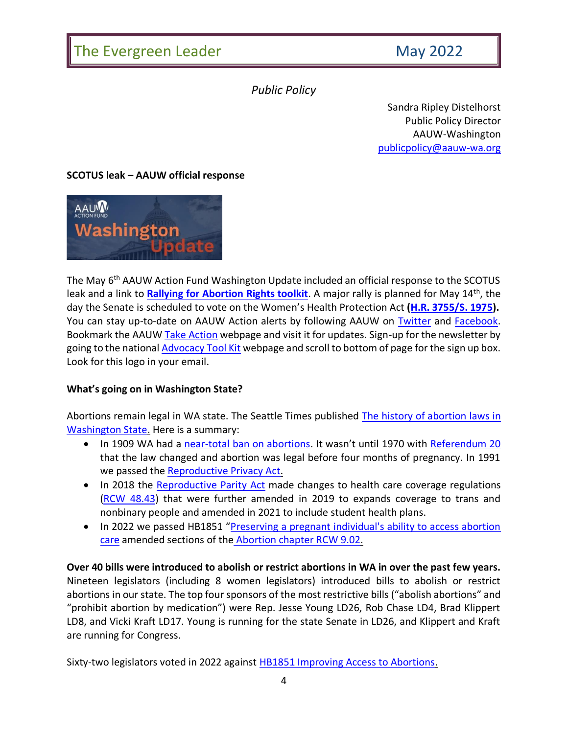## *Public Policy*

Sandra Ripley Distelhorst Public Policy Director AAUW-Washington [publicpolicy@aauw-wa.org](mailto:publicpolicy@aauw-wa.org)

#### <span id="page-3-0"></span>**SCOTUS leak – AAUW official response**



The May 6<sup>th</sup> AAUW Action Fund Washington Update included an official response to the SCOTUS leak and a link to **[Rallying for Abortion Rights toolkit](https://click.everyaction.com/k/45003492/344032396/1087102515?nvep=ew0KICAiVGVuYW50VXJpIjogIm5ncHZhbjovL3Zhbi9FQS9FQTAwNS8xLzc2OTU1IiwNCiAgIkRpc3RyaWJ1dGlvblVuaXF1ZUlkIjogImVkYTU5NDFhLTU4Y2QtZWMxMS05OTdlLTI4MTg3OGI4M2Q4YSIsDQogICJFbWFpbEFkZHJlc3MiOiAic2FuZHJhLmRpc3RlbGhvcnN0QGdtYWlsLmNvbSINCn0%3D&hmac=_vnr5nwdRXhaHGe4i0CY-qR9eLMrBJ3vFC0OebdmcpU=&emci=a4d05994-52cd-ec11-997e-281878b83d8a&emdi=eda5941a-58cd-ec11-997e-281878b83d8a&ceid=23175587)**. A major rally is planned for May 14th, the day the Senate is scheduled to vote on the Women's Health Protection Act **[\(H.R. 3755/S. 1975\)](https://www.congress.gov/bill/117th-congress/senate-bill/1975/related-bills?q=%7B%22search%22%3A%5B%22women%27s+health+protection+act%22%2C%22women%27s+health+protection+act%22%5D%7D&r=1&s=4).** You can stay up-to-date on AAUW Action alerts by following AAUW on [Twitter](https://twitter.com/AAUWActionFund) and [Facebook.](https://www.facebook.com/aauwaction/) Bookmark the AAUW [Take Action](https://www.aauw.org/act/two-minute-activist/era/) webpage and visit it for updates. Sign-up for the newsletter by going to the national [Advocacy Tool Kit](https://www.aauw.org/resources/policy/advocacy-toolkit/) webpage and scroll to bottom of page for the sign up box. Look for this logo in your email.

#### **What's going on in Washington State?**

Abortions remain legal in WA state. The Seattle Times published The history of abortion laws in [Washington State.](https://www.seattletimes.com/seattle-news/data/the-history-of-abortion-rights-in-washington-state/) Here is a summary:

- In 1909 WA had a [near-total ban on abortions](https://leg.wa.gov/CodeReviser/documents/sessionlaw/1909c249.pdf). It wasn't until 1970 with [Referendum 20](https://depts.washington.edu/civilr/referendum20.htm) that the law changed and abortion was legal before four months of pregnancy. In 1991 we passed th[e Reproductive Privacy Act.](https://apps.leg.wa.gov/rcw/default.aspx?cite=9.02.100)
- In 2018 the [Reproductive Parity Act](https://app.leg.wa.gov/billsummary?BillNumber=6219&Year=2017) made changes to health care coverage regulations [\(RCW 48.43\)](https://app.leg.wa.gov/rcw/default.aspx?cite=48.43) that were further amended in 2019 to expands coverage to trans and nonbinary people and amended in 2021 to include student health plans.
- In 2022 we passed HB1851 "Preserving a pregnant individual's ability to access abortion [care](https://app.leg.wa.gov/billsummary?BillNumber=1851&Initiative=false&Year=2021) amended sections of the [Abortion chapter RCW 9.02.](https://apps.leg.wa.gov/rcw/default.aspx?cite=9.02.100)

**Over 40 bills were introduced to abolish or restrict abortions in WA in over the past few years.** Nineteen legislators (including 8 women legislators) introduced bills to abolish or restrict abortions in our state. The top four sponsors of the most restrictive bills ("abolish abortions" and "prohibit abortion by medication") were Rep. Jesse Young LD26, Rob Chase LD4, Brad Klippert LD8, and Vicki Kraft LD17. Young is running for the state Senate in LD26, and Klippert and Kraft are running for Congress.

Sixty-two legislators voted in 2022 against [HB1851 Improving Access to Abortions.](https://app.leg.wa.gov/billsummary?BillNumber=1851&Initiative=false&Year=2021)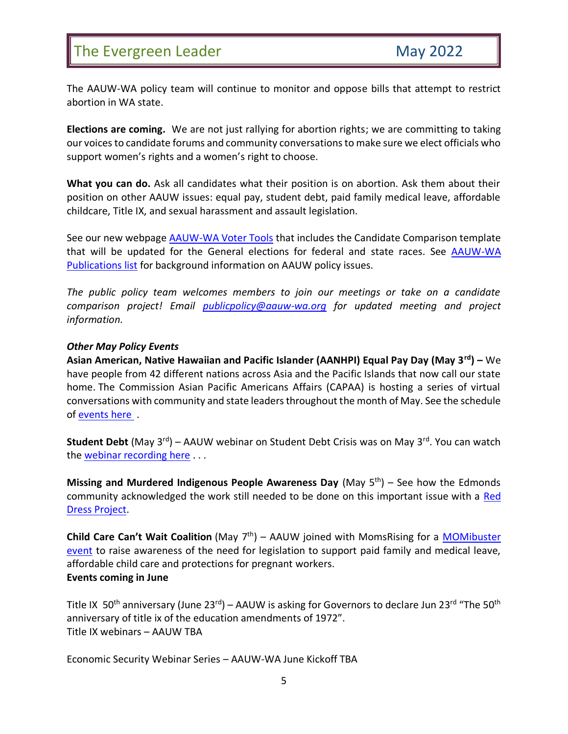The AAUW-WA policy team will continue to monitor and oppose bills that attempt to restrict abortion in WA state.

**Elections are coming.** We are not just rallying for abortion rights; we are committing to taking our voices to candidate forums and community conversations to make sure we elect officials who support women's rights and a women's right to choose.

**What you can do.** Ask all candidates what their position is on abortion. Ask them about their position on other AAUW issues: equal pay, student debt, paid family medical leave, affordable childcare, Title IX, and sexual harassment and assault legislation.

See our new webpage [AAUW-WA Voter Tools](https://aauw-wa.aauw.net/voting-tools/) that includes the Candidate Comparison template that will be updated for the General elections for federal and state races. See [AAUW-WA](https://aauw-wa.aauw.net/advocacy/public-policy-research/)  [Publications list](https://aauw-wa.aauw.net/advocacy/public-policy-research/) for background information on AAUW policy issues.

*The public policy team welcomes members to join our meetings or take on a candidate comparison project! Email [publicpolicy@aauw-wa.org](mailto:publicpolicy@aauw-wa.org) for updated meeting and project information.* 

#### *Other May Policy Events*

**Asian American, Native Hawaiian and Pacific Islander (AANHPI) Equal Pay Day (May 3rd) –** We have people from 42 different nations across Asia and the Pacific Islands that now call our state home. The Commission Asian Pacific Americans Affairs (CAPAA) is hosting a series of virtual conversations with community and state leaders throughout the month of May. See the schedule of [events here](https://capaa.wa.gov/aanhpi-heritage-month/) .

**Student Debt** (May 3<sup>rd</sup>) – AAUW webinar on Student Debt Crisis was on May 3<sup>rd</sup>. You can watch the [webinar recording here](https://click.everyaction.com/k/45003520/344032426/-1597936063?nvep=ew0KICAiVGVuYW50VXJpIjogIm5ncHZhbjovL3Zhbi9FQS9FQTAwNS8xLzc2OTU1IiwNCiAgIkRpc3RyaWJ1dGlvblVuaXF1ZUlkIjogImVkYTU5NDFhLTU4Y2QtZWMxMS05OTdlLTI4MTg3OGI4M2Q4YSIsDQogICJFbWFpbEFkZHJlc3MiOiAic2FuZHJhLmRpc3RlbGhvcnN0QGdtYWlsLmNvbSINCn0%3D&hmac=_vnr5nwdRXhaHGe4i0CY-qR9eLMrBJ3vFC0OebdmcpU=&emci=a4d05994-52cd-ec11-997e-281878b83d8a&emdi=eda5941a-58cd-ec11-997e-281878b83d8a&ceid=23175587) . . .

**Missing and Murdered Indigenous People Awareness Day** (May 5<sup>th</sup>) – See how the Edmonds community acknowledged the work still needed to be done on this important issue with a [Red](https://myedmondsnews.com/2022/05/red-dress-art-installation-focuses-on-missing-murdered-indigenous-women/)  [Dress Project.](https://myedmondsnews.com/2022/05/red-dress-art-installation-focuses-on-missing-murdered-indigenous-women/)

**Child Care Can't Wait Coalition** (May 7<sup>th</sup>) – AAUW joined with MomsRising for a [MOMibuster](https://www.facebook.com/events/365003248913898?emci=a4d05994-52cd-ec11-997e-281878b83d8a&emdi=eda5941a-58cd-ec11-997e-281878b83d8a&ceid=23175587) [event](https://www.facebook.com/events/365003248913898?emci=a4d05994-52cd-ec11-997e-281878b83d8a&emdi=eda5941a-58cd-ec11-997e-281878b83d8a&ceid=23175587) to raise awareness of the need for legislation to support paid family and medical leave, affordable child care and protections for pregnant workers. **Events coming in June**

Title IX 50<sup>th</sup> anniversary (June 23<sup>rd</sup>) – AAUW is asking for Governors to declare Jun 23<sup>rd</sup> "The 50<sup>th</sup> anniversary of title ix of the education amendments of 1972". Title IX webinars – AAUW TBA

Economic Security Webinar Series – AAUW-WA June Kickoff TBA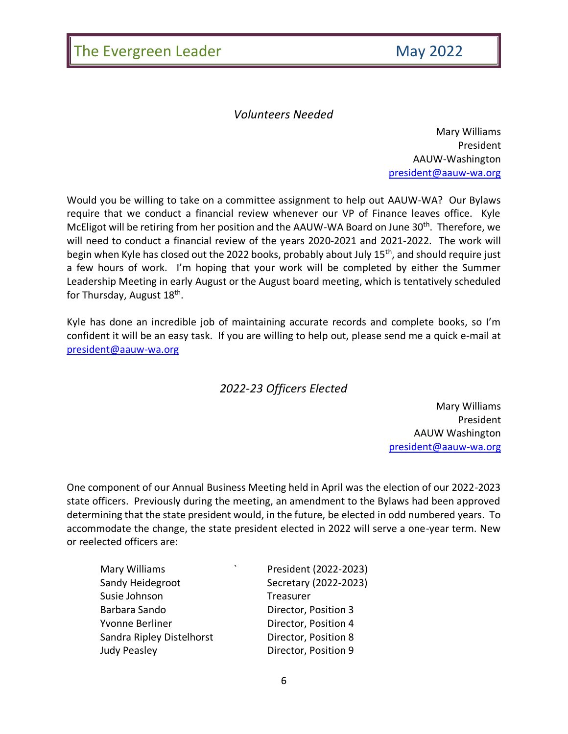#### *Volunteers Needed*

Mary Williams President AAUW-Washington [president@aauw-wa.org](mailto:president@aauw-wa.org)

<span id="page-5-0"></span>Would you be willing to take on a committee assignment to help out AAUW-WA? Our Bylaws require that we conduct a financial review whenever our VP of Finance leaves office. Kyle McEligot will be retiring from her position and the AAUW-WA Board on June 30<sup>th</sup>. Therefore, we will need to conduct a financial review of the years 2020-2021 and 2021-2022. The work will begin when Kyle has closed out the 2022 books, probably about July 15<sup>th</sup>, and should require just a few hours of work. I'm hoping that your work will be completed by either the Summer Leadership Meeting in early August or the August board meeting, which is tentatively scheduled for Thursday, August 18<sup>th</sup>.

<span id="page-5-1"></span>Kyle has done an incredible job of maintaining accurate records and complete books, so I'm confident it will be an easy task. If you are willing to help out, please send me a quick e-mail at [president@aauw-wa.org](mailto:president@aauw-wa.org)

## *2022-23 Officers Elected*

Mary Williams President AAUW Washington [president@aauw-wa.org](mailto:president@aauw-wa.org)

One component of our Annual Business Meeting held in April was the election of our 2022-2023 state officers. Previously during the meeting, an amendment to the Bylaws had been approved determining that the state president would, in the future, be elected in odd numbered years. To accommodate the change, the state president elected in 2022 will serve a one-year term. New or reelected officers are:

| Mary Williams             | $\cdot$ | President (2022-2023) |
|---------------------------|---------|-----------------------|
| Sandy Heidegroot          |         | Secretary (2022-2023) |
| Susie Johnson             |         | Treasurer             |
| Barbara Sando             |         | Director, Position 3  |
| Yvonne Berliner           |         | Director, Position 4  |
| Sandra Ripley Distelhorst |         | Director, Position 8  |
| <b>Judy Peasley</b>       |         | Director, Position 9  |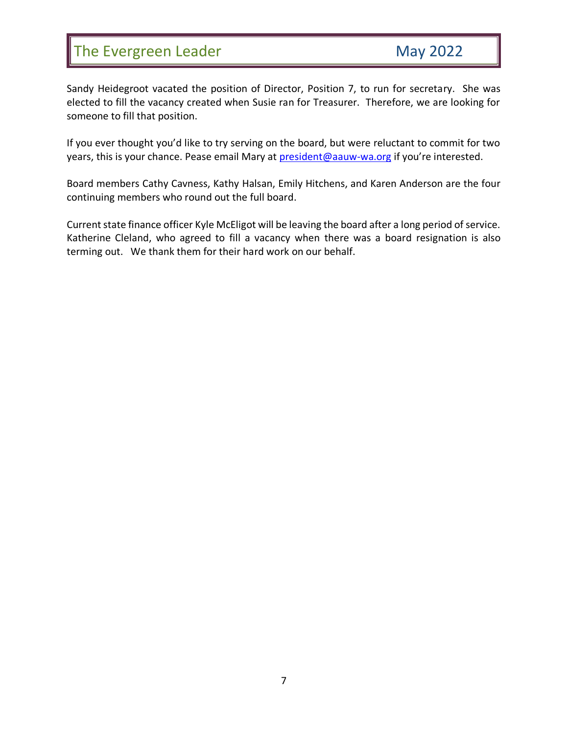Sandy Heidegroot vacated the position of Director, Position 7, to run for secretary. She was elected to fill the vacancy created when Susie ran for Treasurer. Therefore, we are looking for someone to fill that position.

If you ever thought you'd like to try serving on the board, but were reluctant to commit for two years, this is your chance. Pease email Mary at [president@aauw-wa.org](mailto:president@aauw-wa.org) if you're interested.

Board members Cathy Cavness, Kathy Halsan, Emily Hitchens, and Karen Anderson are the four continuing members who round out the full board.

Current state finance officer Kyle McEligot will be leaving the board after a long period of service. Katherine Cleland, who agreed to fill a vacancy when there was a board resignation is also terming out. We thank them for their hard work on our behalf.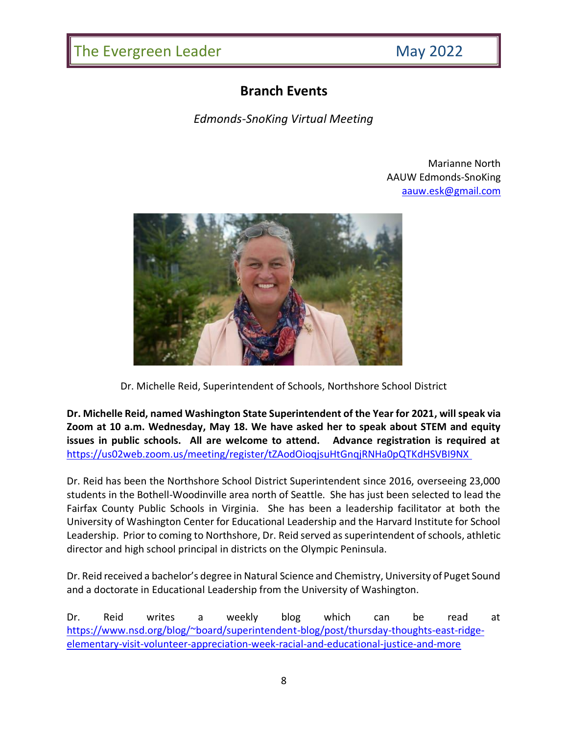## **Branch Events**

*Edmonds-SnoKing Virtual Meeting*

Marianne North AAUW Edmonds-SnoKing [aauw.esk@gmail.com](mailto:aauw.esk@gmail.com)

<span id="page-7-1"></span><span id="page-7-0"></span>

Dr. Michelle Reid, Superintendent of Schools, Northshore School District

**Dr. Michelle Reid, named Washington State Superintendent of the Year for 2021, will speak via Zoom at 10 a.m. Wednesday, May 18. We have asked her to speak about STEM and equity issues in public schools. All are welcome to attend. Advance registration is required at**  <https://us02web.zoom.us/meeting/register/tZAodOioqjsuHtGnqjRNHa0pQTKdHSVBI9NX>

Dr. Reid has been the Northshore School District Superintendent since 2016, overseeing 23,000 students in the Bothell-Woodinville area north of Seattle. She has just been selected to lead the Fairfax County Public Schools in Virginia. She has been a leadership facilitator at both the University of Washington Center for Educational Leadership and the Harvard Institute for School Leadership. Prior to coming to Northshore, Dr. Reid served as superintendent of schools, athletic director and high school principal in districts on the Olympic Peninsula.

Dr. Reid received a bachelor's degree in Natural Science and Chemistry, University of Puget Sound and a doctorate in Educational Leadership from the University of Washington.

Dr. Reid writes a weekly blog which can be read at [https://www.nsd.org/blog/~board/superintendent-blog/post/thursday-thoughts-east-ridge](https://www.nsd.org/blog/~board/superintendent-blog/post/thursday-thoughts-east-ridge-elementary-visit-volunteer-appreciation-week-racial-and-educational-justice-and-more)[elementary-visit-volunteer-appreciation-week-racial-and-educational-justice-and-more](https://www.nsd.org/blog/~board/superintendent-blog/post/thursday-thoughts-east-ridge-elementary-visit-volunteer-appreciation-week-racial-and-educational-justice-and-more)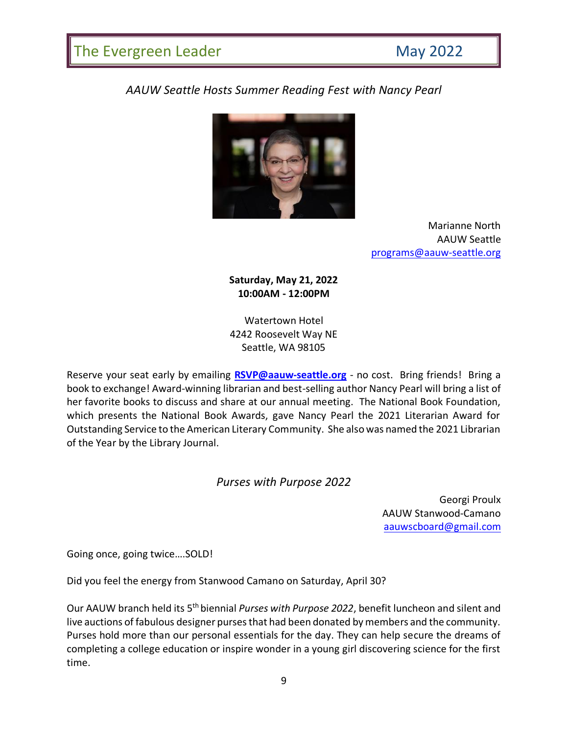## <span id="page-8-0"></span>*AAUW Seattle Hosts Summer Reading Fest with Nancy Pearl*



Marianne North AAUW Seattle [programs@aauw-seattle.org](mailto:programs@aauw-seattle.org)

**Saturday, May 21, 2022 10:00AM - 12:00PM**

Watertown Hotel 4242 Roosevelt Way NE Seattle, WA 98105

Reserve your seat early by emailing **[RSVP@aauw-seattle.org](mailto:RSVP@aauw-seattle.org)** - no cost. Bring friends! Bring a book to exchange! Award-winning librarian and best-selling author Nancy Pearl will bring a list of her favorite books to discuss and share at our annual meeting. The National Book Foundation, which presents the National Book Awards, gave Nancy Pearl the 2021 Literarian Award for Outstanding Service to the American Literary Community. She also was named the 2021 Librarian of the Year by the Library Journal.

## *Purses with Purpose 2022*

Georgi Proulx AAUW Stanwood-Camano [aauwscboard@gmail.com](mailto:aauwscboard@gmail.com)

<span id="page-8-1"></span>Going once, going twice….SOLD!

Did you feel the energy from Stanwood Camano on Saturday, April 30?

Our AAUW branch held its 5th biennial *Purses with Purpose 2022*, benefit luncheon and silent and live auctions of fabulous designer purses that had been donated by members and the community. Purses hold more than our personal essentials for the day. They can help secure the dreams of completing a college education or inspire wonder in a young girl discovering science for the first time.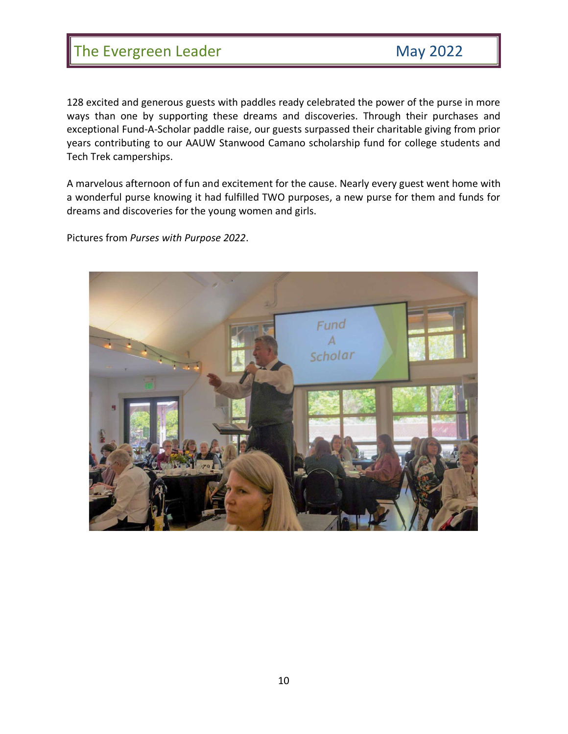128 excited and generous guests with paddles ready celebrated the power of the purse in more ways than one by supporting these dreams and discoveries. Through their purchases and exceptional Fund-A-Scholar paddle raise, our guests surpassed their charitable giving from prior years contributing to our AAUW Stanwood Camano scholarship fund for college students and Tech Trek camperships.

A marvelous afternoon of fun and excitement for the cause. Nearly every guest went home with a wonderful purse knowing it had fulfilled TWO purposes, a new purse for them and funds for dreams and discoveries for the young women and girls.

Pictures from *Purses with Purpose 2022*.

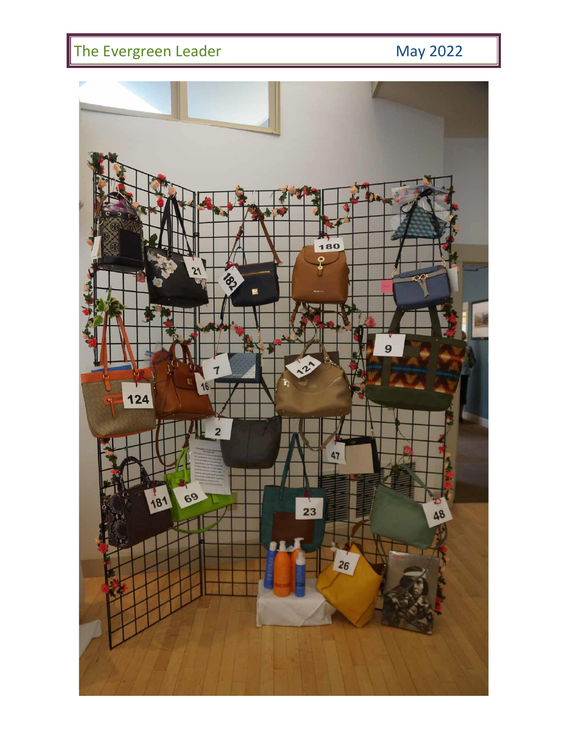# May 2022

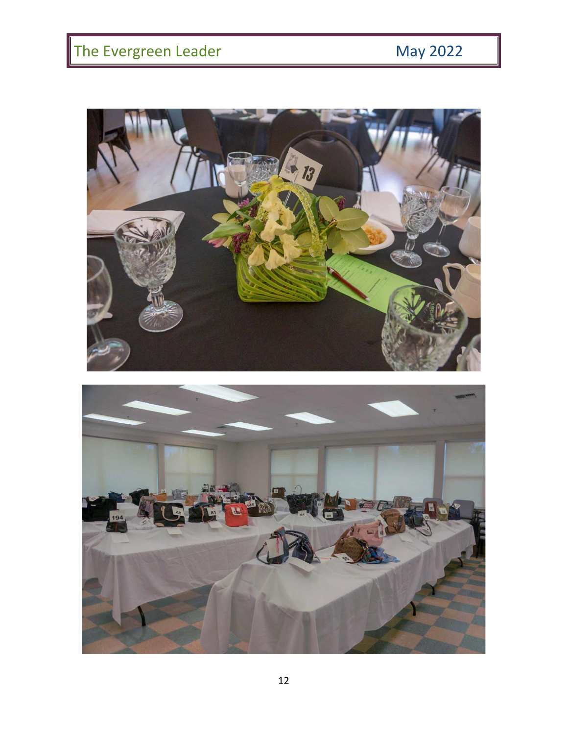# May 2022